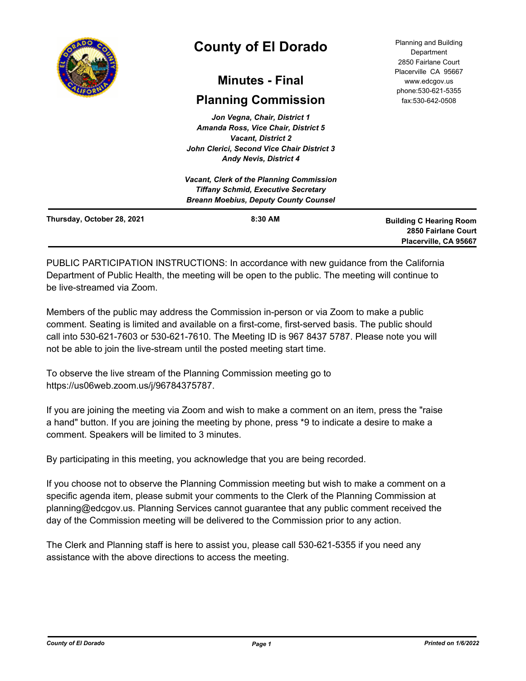

# **County of El Dorado**

## **Minutes - Final**

## **Planning Commission**

*Jon Vegna, Chair, District 1 Amanda Ross, Vice Chair, District 5 Vacant, District 2 John Clerici, Second Vice Chair District 3 Andy Nevis, District 4*

Planning and Building Department 2850 Fairlane Court Placerville CA 95667 www.edcgov.us phone:530-621-5355 fax:530-642-0508

|                            | <b>Andy Nevis, District 4</b>                                                                                                                 |                                                                                |
|----------------------------|-----------------------------------------------------------------------------------------------------------------------------------------------|--------------------------------------------------------------------------------|
|                            | <b>Vacant, Clerk of the Planning Commission</b><br><b>Tiffany Schmid, Executive Secretary</b><br><b>Breann Moebius, Deputy County Counsel</b> |                                                                                |
| Thursday, October 28, 2021 | $8:30$ AM                                                                                                                                     | <b>Building C Hearing Room</b><br>2850 Fairlane Court<br>Placerville, CA 95667 |

PUBLIC PARTICIPATION INSTRUCTIONS: In accordance with new guidance from the California Department of Public Health, the meeting will be open to the public. The meeting will continue to be live-streamed via Zoom.

Members of the public may address the Commission in-person or via Zoom to make a public comment. Seating is limited and available on a first-come, first-served basis. The public should call into 530-621-7603 or 530-621-7610. The Meeting ID is 967 8437 5787. Please note you will not be able to join the live-stream until the posted meeting start time.

To observe the live stream of the Planning Commission meeting go to https://us06web.zoom.us/j/96784375787.

If you are joining the meeting via Zoom and wish to make a comment on an item, press the "raise a hand" button. If you are joining the meeting by phone, press \*9 to indicate a desire to make a comment. Speakers will be limited to 3 minutes.

By participating in this meeting, you acknowledge that you are being recorded.

If you choose not to observe the Planning Commission meeting but wish to make a comment on a specific agenda item, please submit your comments to the Clerk of the Planning Commission at planning@edcgov.us. Planning Services cannot guarantee that any public comment received the day of the Commission meeting will be delivered to the Commission prior to any action.

The Clerk and Planning staff is here to assist you, please call 530-621-5355 if you need any assistance with the above directions to access the meeting.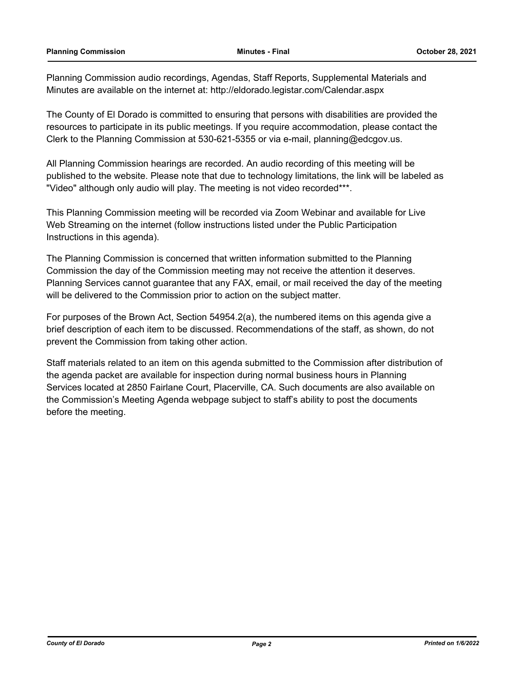Planning Commission audio recordings, Agendas, Staff Reports, Supplemental Materials and Minutes are available on the internet at: http://eldorado.legistar.com/Calendar.aspx

The County of El Dorado is committed to ensuring that persons with disabilities are provided the resources to participate in its public meetings. If you require accommodation, please contact the Clerk to the Planning Commission at 530-621-5355 or via e-mail, planning@edcgov.us.

All Planning Commission hearings are recorded. An audio recording of this meeting will be published to the website. Please note that due to technology limitations, the link will be labeled as "Video" although only audio will play. The meeting is not video recorded\*\*\*.

This Planning Commission meeting will be recorded via Zoom Webinar and available for Live Web Streaming on the internet (follow instructions listed under the Public Participation Instructions in this agenda).

The Planning Commission is concerned that written information submitted to the Planning Commission the day of the Commission meeting may not receive the attention it deserves. Planning Services cannot guarantee that any FAX, email, or mail received the day of the meeting will be delivered to the Commission prior to action on the subject matter.

For purposes of the Brown Act, Section 54954.2(a), the numbered items on this agenda give a brief description of each item to be discussed. Recommendations of the staff, as shown, do not prevent the Commission from taking other action.

Staff materials related to an item on this agenda submitted to the Commission after distribution of the agenda packet are available for inspection during normal business hours in Planning Services located at 2850 Fairlane Court, Placerville, CA. Such documents are also available on the Commission's Meeting Agenda webpage subject to staff's ability to post the documents before the meeting.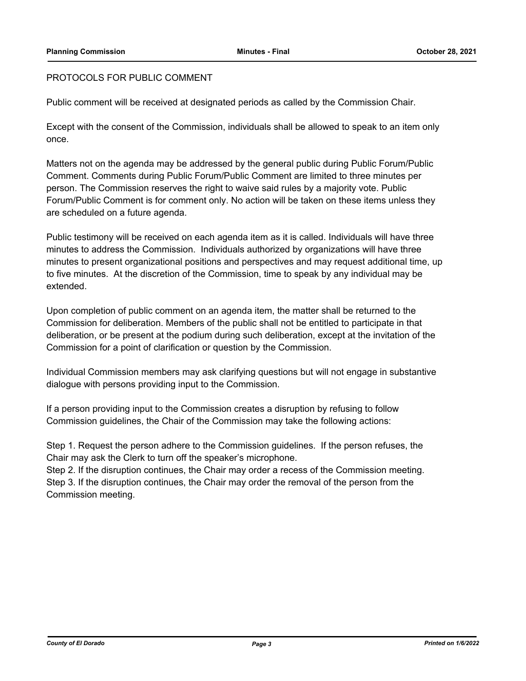## PROTOCOLS FOR PUBLIC COMMENT

Public comment will be received at designated periods as called by the Commission Chair.

Except with the consent of the Commission, individuals shall be allowed to speak to an item only once.

Matters not on the agenda may be addressed by the general public during Public Forum/Public Comment. Comments during Public Forum/Public Comment are limited to three minutes per person. The Commission reserves the right to waive said rules by a majority vote. Public Forum/Public Comment is for comment only. No action will be taken on these items unless they are scheduled on a future agenda.

Public testimony will be received on each agenda item as it is called. Individuals will have three minutes to address the Commission. Individuals authorized by organizations will have three minutes to present organizational positions and perspectives and may request additional time, up to five minutes. At the discretion of the Commission, time to speak by any individual may be extended.

Upon completion of public comment on an agenda item, the matter shall be returned to the Commission for deliberation. Members of the public shall not be entitled to participate in that deliberation, or be present at the podium during such deliberation, except at the invitation of the Commission for a point of clarification or question by the Commission.

Individual Commission members may ask clarifying questions but will not engage in substantive dialogue with persons providing input to the Commission.

If a person providing input to the Commission creates a disruption by refusing to follow Commission guidelines, the Chair of the Commission may take the following actions:

Step 1. Request the person adhere to the Commission guidelines. If the person refuses, the Chair may ask the Clerk to turn off the speaker's microphone.

Step 2. If the disruption continues, the Chair may order a recess of the Commission meeting. Step 3. If the disruption continues, the Chair may order the removal of the person from the Commission meeting.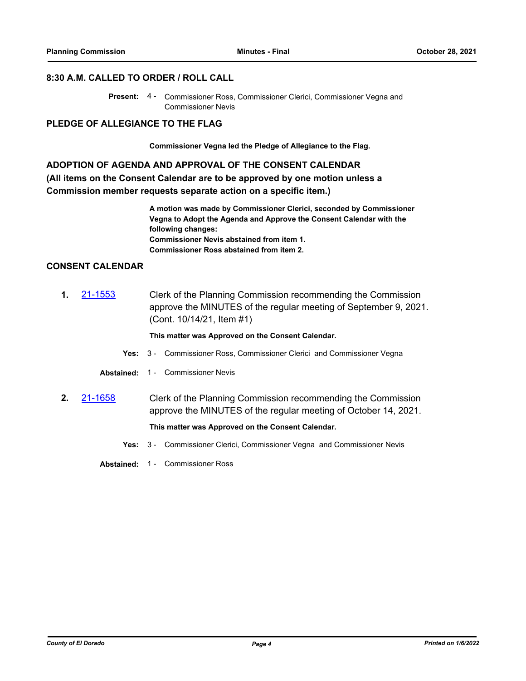#### **8:30 A.M. CALLED TO ORDER / ROLL CALL**

#### **PLEDGE OF ALLEGIANCE TO THE FLAG**

**Commissioner Vegna led the Pledge of Allegiance to the Flag.**

## **ADOPTION OF AGENDA AND APPROVAL OF THE CONSENT CALENDAR (All items on the Consent Calendar are to be approved by one motion unless a**

**Commission member requests separate action on a specific item.)**

**A motion was made by Commissioner Clerici, seconded by Commissioner Vegna to Adopt the Agenda and Approve the Consent Calendar with the following changes: Commissioner Nevis abstained from item 1. Commissioner Ross abstained from item 2.**

## **CONSENT CALENDAR**

**1.** [21-1553](http://eldorado.legistar.com/gateway.aspx?m=l&id=/matter.aspx?key=30448) Clerk of the Planning Commission recommending the Commission approve the MINUTES of the regular meeting of September 9, 2021. (Cont. 10/14/21, Item #1)

**This matter was Approved on the Consent Calendar.**

- **Yes:** 3 Commissioner Ross, Commissioner Clerici and Commissioner Vegna
- **Abstained:** 1 Commissioner Nevis
- **2.** [21-1658](http://eldorado.legistar.com/gateway.aspx?m=l&id=/matter.aspx?key=30553) Clerk of the Planning Commission recommending the Commission approve the MINUTES of the regular meeting of October 14, 2021.

#### **This matter was Approved on the Consent Calendar.**

- **Yes:** 3 Commissioner Clerici, Commissioner Vegna and Commissioner Nevis
- **Abstained:** 1 Commissioner Ross

Present: 4 - Commissioner Ross, Commissioner Clerici, Commissioner Vegna and Commissioner Nevis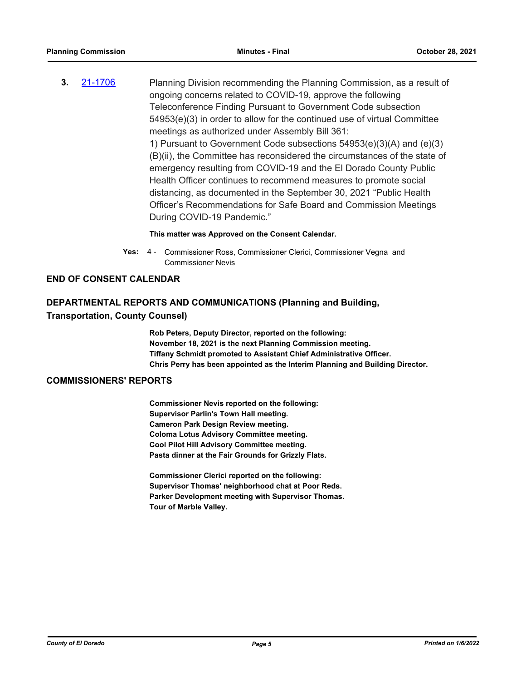**3.** [21-1706](http://eldorado.legistar.com/gateway.aspx?m=l&id=/matter.aspx?key=30601) Planning Division recommending the Planning Commission, as a result of ongoing concerns related to COVID-19, approve the following Teleconference Finding Pursuant to Government Code subsection 54953(e)(3) in order to allow for the continued use of virtual Committee meetings as authorized under Assembly Bill 361: 1) Pursuant to Government Code subsections 54953(e)(3)(A) and (e)(3) (B)(ii), the Committee has reconsidered the circumstances of the state of emergency resulting from COVID-19 and the El Dorado County Public Health Officer continues to recommend measures to promote social distancing, as documented in the September 30, 2021 "Public Health Officer's Recommendations for Safe Board and Commission Meetings During COVID-19 Pandemic."

#### **This matter was Approved on the Consent Calendar.**

Yes: 4 - Commissioner Ross, Commissioner Clerici, Commissioner Vegna and Commissioner Nevis

#### **END OF CONSENT CALENDAR**

### **DEPARTMENTAL REPORTS AND COMMUNICATIONS (Planning and Building,**

#### **Transportation, County Counsel)**

**Rob Peters, Deputy Director, reported on the following: November 18, 2021 is the next Planning Commission meeting. Tiffany Schmidt promoted to Assistant Chief Administrative Officer. Chris Perry has been appointed as the Interim Planning and Building Director.**

### **COMMISSIONERS' REPORTS**

**Commissioner Nevis reported on the following: Supervisor Parlin's Town Hall meeting. Cameron Park Design Review meeting. Coloma Lotus Advisory Committee meeting. Cool Pilot Hill Advisory Committee meeting. Pasta dinner at the Fair Grounds for Grizzly Flats.**

**Commissioner Clerici reported on the following: Supervisor Thomas' neighborhood chat at Poor Reds. Parker Development meeting with Supervisor Thomas. Tour of Marble Valley.**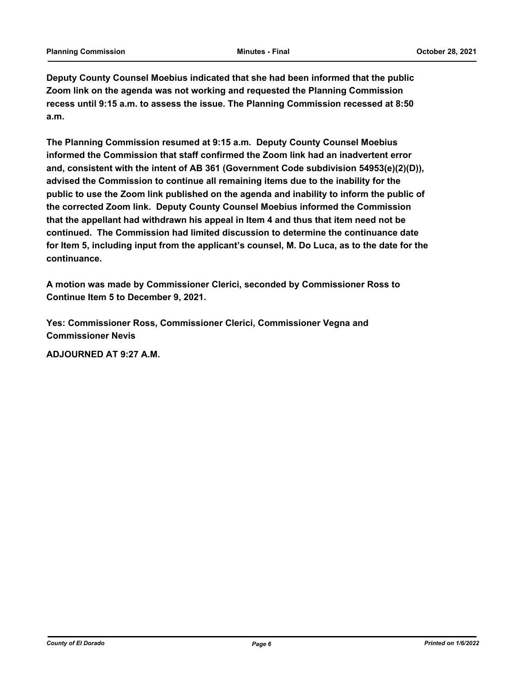**Deputy County Counsel Moebius indicated that she had been informed that the public Zoom link on the agenda was not working and requested the Planning Commission recess until 9:15 a.m. to assess the issue. The Planning Commission recessed at 8:50 a.m.**

**The Planning Commission resumed at 9:15 a.m. Deputy County Counsel Moebius informed the Commission that staff confirmed the Zoom link had an inadvertent error and, consistent with the intent of AB 361 (Government Code subdivision 54953(e)(2)(D)), advised the Commission to continue all remaining items due to the inability for the public to use the Zoom link published on the agenda and inability to inform the public of the corrected Zoom link. Deputy County Counsel Moebius informed the Commission that the appellant had withdrawn his appeal in Item 4 and thus that item need not be continued. The Commission had limited discussion to determine the continuance date for Item 5, including input from the applicant's counsel, M. Do Luca, as to the date for the continuance.** 

**A motion was made by Commissioner Clerici, seconded by Commissioner Ross to Continue Item 5 to December 9, 2021.**

**Yes: Commissioner Ross, Commissioner Clerici, Commissioner Vegna and Commissioner Nevis**

**ADJOURNED AT 9:27 A.M.**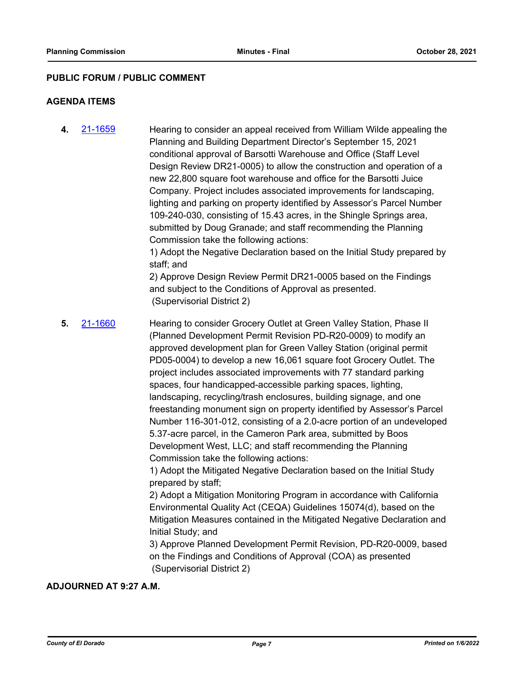#### **PUBLIC FORUM / PUBLIC COMMENT**

#### **AGENDA ITEMS**

**4.** [21-1659](http://eldorado.legistar.com/gateway.aspx?m=l&id=/matter.aspx?key=30554) Hearing to consider an appeal received from William Wilde appealing the Planning and Building Department Director's September 15, 2021 conditional approval of Barsotti Warehouse and Office (Staff Level Design Review DR21-0005) to allow the construction and operation of a new 22,800 square foot warehouse and office for the Barsotti Juice Company. Project includes associated improvements for landscaping, lighting and parking on property identified by Assessor's Parcel Number 109-240-030, consisting of 15.43 acres, in the Shingle Springs area, submitted by Doug Granade; and staff recommending the Planning Commission take the following actions: 1) Adopt the Negative Declaration based on the Initial Study prepared by staff; and 2) Approve Design Review Permit DR21-0005 based on the Findings

and subject to the Conditions of Approval as presented. (Supervisorial District 2)

**5.** [21-1660](http://eldorado.legistar.com/gateway.aspx?m=l&id=/matter.aspx?key=30555) Hearing to consider Grocery Outlet at Green Valley Station, Phase II (Planned Development Permit Revision PD-R20-0009) to modify an approved development plan for Green Valley Station (original permit PD05-0004) to develop a new 16,061 square foot Grocery Outlet. The project includes associated improvements with 77 standard parking spaces, four handicapped-accessible parking spaces, lighting, landscaping, recycling/trash enclosures, building signage, and one freestanding monument sign on property identified by Assessor's Parcel Number 116-301-012, consisting of a 2.0-acre portion of an undeveloped 5.37-acre parcel, in the Cameron Park area, submitted by Boos Development West, LLC; and staff recommending the Planning Commission take the following actions:

> 1) Adopt the Mitigated Negative Declaration based on the Initial Study prepared by staff;

2) Adopt a Mitigation Monitoring Program in accordance with California Environmental Quality Act (CEQA) Guidelines 15074(d), based on the Mitigation Measures contained in the Mitigated Negative Declaration and Initial Study; and

3) Approve Planned Development Permit Revision, PD-R20-0009, based on the Findings and Conditions of Approval (COA) as presented (Supervisorial District 2)

## **ADJOURNED AT 9:27 A.M.**